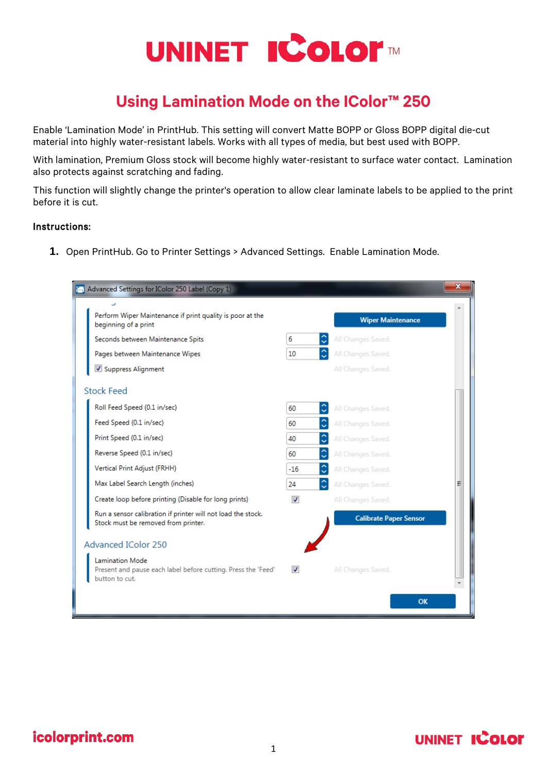# UNINET ICOLOF

# **Using Lamination Mode on the IColor™ 250**

Enable 'Lamination Mode' in PrintHub. This setting will convert Matte BOPP or Gloss BOPP digital die-cut material into highly water-resistant labels. Works with all types of media, but best used with BOPP.

With lamination, Premium Gloss stock will become highly water-resistant to surface water contact. Lamination also protects against scratching and fading.

This function will slightly change the printer's operation to allow clear laminate labels to be applied to the print before it is cut.

#### Instructions:

**1.** Open PrintHub. Go to Printer Settings > Advanced Settings. Enable Lamination Mode.

|                            | Advanced Settings for IColor 250 Label (Copy 1)                                                           |                          |                               | $\mathbf x$ |
|----------------------------|-----------------------------------------------------------------------------------------------------------|--------------------------|-------------------------------|-------------|
|                            | Perform Wiper Maintenance if print quality is poor at the<br>beginning of a print                         | <b>Wiper Maintenance</b> |                               |             |
|                            | Seconds between Maintenance Spits                                                                         | 6                        | All Changes Saved.            |             |
|                            | Pages between Maintenance Wipes                                                                           | 10                       | All Changes Saved.            |             |
|                            | Suppress Alignment                                                                                        |                          | All Changes Saved.            |             |
|                            | <b>Stock Feed</b>                                                                                         |                          |                               |             |
|                            | Roll Feed Speed (0.1 in/sec)                                                                              | 60                       | All Changes Saved.            |             |
|                            | Feed Speed (0.1 in/sec)                                                                                   | 60                       | All Changes Saved.            |             |
|                            | Print Speed (0.1 in/sec)                                                                                  | 40                       | All Changes Saved.            |             |
|                            | Reverse Speed (0.1 in/sec)                                                                                | 60                       | All Changes Saved.            |             |
|                            | Vertical Print Adjust (FRHH)                                                                              | $-16$                    | All Changes Saved.            |             |
|                            | Max Label Search Length (inches)                                                                          | 24                       | All Changes Saved.            | Ξ           |
|                            | Create loop before printing (Disable for long prints)                                                     | $\overline{J}$           | All Changes Saved.            |             |
|                            | Run a sensor calibration if printer will not load the stock.<br>Stock must be removed from printer.       |                          | <b>Calibrate Paper Sensor</b> |             |
| <b>Advanced IColor 250</b> |                                                                                                           |                          |                               |             |
|                            | <b>Lamination Mode</b><br>Present and pause each label before cutting. Press the 'Feed'<br>button to cut. | $\overline{J}$           | All Changes Saved.            |             |
|                            |                                                                                                           |                          | <b>OK</b>                     |             |

icolorprint.com

## **UNINET ICOLOR**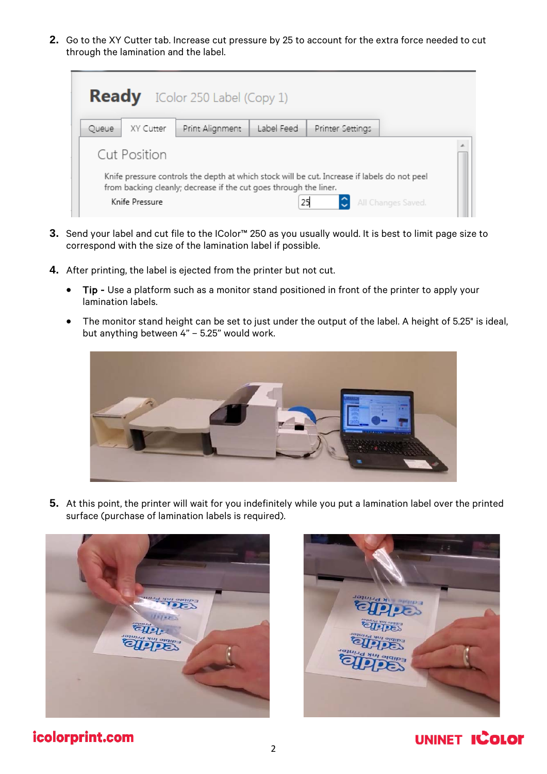**2.** Go to the XY Cutter tab. Increase cut pressure by 25 to account for the extra force needed to cut through the lamination and the label.

|                                                                                                                                                                   |                | <b>Ready</b> IColor 250 Label (Copy 1) |            |                  |                    |  |  |
|-------------------------------------------------------------------------------------------------------------------------------------------------------------------|----------------|----------------------------------------|------------|------------------|--------------------|--|--|
| Queue                                                                                                                                                             | XY Cutter      | Print Alignment                        | Label Feed | Printer Settings |                    |  |  |
| Cut Position                                                                                                                                                      |                |                                        |            |                  |                    |  |  |
| Knife pressure controls the depth at which stock will be cut. Increase if labels do not peel<br>from backing cleanly; decrease if the cut goes through the liner. |                |                                        |            |                  |                    |  |  |
|                                                                                                                                                                   | Knife Pressure |                                        | 25         |                  | All Changes Saved. |  |  |

- **3.** Send your label and cut file to the IColor™ 250 as you usually would. It is best to limit page size to correspond with the size of the lamination label if possible.
- **4.** After printing, the label is ejected from the printer but not cut.
	- Tip Use a platform such as a monitor stand positioned in front of the printer to apply your lamination labels.
	- The monitor stand height can be set to just under the output of the label. A height of 5.25" is ideal, but anything between 4" – 5.25" would work.



**5.** At this point, the printer will wait for you indefinitely while you put a lamination label over the printed surface (purchase of lamination labels is required).



#### icolorprint.com